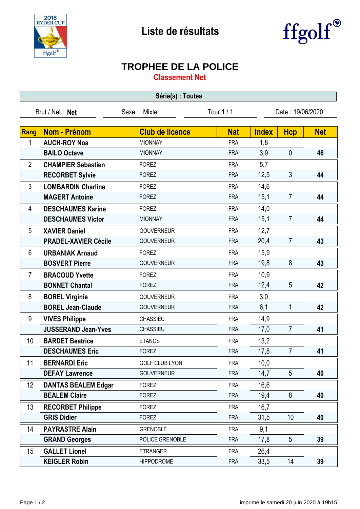



## **TROPHEE DE LA POLICE**

**Classement Net**

| Série(s) : Toutes |                             |                        |                                |              |                |            |  |  |  |  |
|-------------------|-----------------------------|------------------------|--------------------------------|--------------|----------------|------------|--|--|--|--|
|                   | Brut / Net: Net             | Sexe: Mixte            | Tour 1 / 1<br>Date: 19/06/2020 |              |                |            |  |  |  |  |
|                   |                             |                        |                                |              |                |            |  |  |  |  |
| Rang              | <b>Nom - Prénom</b>         | <b>Club de licence</b> | <b>Nat</b>                     | <b>Index</b> | <b>Hcp</b>     | <b>Net</b> |  |  |  |  |
| 1                 | <b>AUCH-ROY Noa</b>         | <b>MIONNAY</b>         | <b>FRA</b>                     | 1,8          |                |            |  |  |  |  |
|                   | <b>BAILO Octave</b>         | <b>MIONNAY</b>         | <b>FRA</b>                     | 3,9          | $\mathbf 0$    | 46         |  |  |  |  |
| $\overline{2}$    | <b>CHAMPIER Sebastien</b>   | <b>FOREZ</b>           | <b>FRA</b>                     | 5,7          |                |            |  |  |  |  |
|                   | <b>RECORBET Sylvie</b>      | <b>FOREZ</b>           | <b>FRA</b>                     | 12,5         | 3              | 44         |  |  |  |  |
| 3                 | <b>LOMBARDIN Charline</b>   | <b>FOREZ</b>           | <b>FRA</b>                     | 14,6         |                |            |  |  |  |  |
|                   | <b>MAGERT Antoine</b>       | <b>FOREZ</b>           | <b>FRA</b>                     | 15,1         | $\overline{7}$ | 44         |  |  |  |  |
| 4                 | <b>DESCHAUMES Karine</b>    | <b>FOREZ</b>           | <b>FRA</b>                     | 14,0         |                |            |  |  |  |  |
|                   | <b>DESCHAUMES Victor</b>    | <b>MIONNAY</b>         | <b>FRA</b>                     | 15,1         | $\overline{7}$ | 44         |  |  |  |  |
| 5                 | <b>XAVIER Daniel</b>        | <b>GOUVERNEUR</b>      | <b>FRA</b>                     | 12,7         |                |            |  |  |  |  |
|                   | <b>PRADEL-XAVIER Cécile</b> | <b>GOUVERNEUR</b>      | <b>FRA</b>                     | 20,4         | $\overline{7}$ | 43         |  |  |  |  |
| 6                 | <b>URBANIAK Arnaud</b>      | <b>FOREZ</b>           | <b>FRA</b>                     | 15,9         |                |            |  |  |  |  |
|                   | <b>BOSVERT Pierre</b>       | <b>GOUVERNEUR</b>      | <b>FRA</b>                     | 19,8         | 8              | 43         |  |  |  |  |
| $\overline{7}$    | <b>BRACOUD Yvette</b>       | <b>FOREZ</b>           | <b>FRA</b>                     | 10,9         |                |            |  |  |  |  |
|                   | <b>BONNET Chantal</b>       | <b>FOREZ</b>           | <b>FRA</b>                     | 12,4         | 5              | 42         |  |  |  |  |
| 8                 | <b>BOREL Virginie</b>       | <b>GOUVERNEUR</b>      | <b>FRA</b>                     | 3,0          |                |            |  |  |  |  |
|                   | <b>BOREL Jean-Claude</b>    | <b>GOUVERNEUR</b>      | <b>FRA</b>                     | 6,1          | 1              | 42         |  |  |  |  |
| 9                 | <b>VIVES Philippe</b>       | <b>CHASSIEU</b>        | <b>FRA</b>                     | 14,9         |                |            |  |  |  |  |
|                   | <b>JUSSERAND Jean-Yves</b>  | CHASSIEU               | <b>FRA</b>                     | 17,0         | $\overline{7}$ | 41         |  |  |  |  |
| 10                | <b>BARDET Beatrice</b>      | <b>ETANGS</b>          | <b>FRA</b>                     | 13,2         |                |            |  |  |  |  |
|                   | <b>DESCHAUMES Eric</b>      | <b>FOREZ</b>           | <b>FRA</b>                     | 17,8         | $\overline{7}$ | 41         |  |  |  |  |
| 11                | <b>BERNARDI Eric</b>        | <b>GOLF CLUB LYON</b>  | <b>FRA</b>                     | 10,0         |                |            |  |  |  |  |
|                   | <b>DEFAY Lawrence</b>       | <b>GOUVERNEUR</b>      | <b>FRA</b>                     | 14,7         | 5              | 40         |  |  |  |  |
| 12                | <b>DANTAS BEALEM Edgar</b>  | <b>FOREZ</b>           | <b>FRA</b>                     | 16,6         |                |            |  |  |  |  |
|                   | <b>BEALEM Claire</b>        | <b>FOREZ</b>           | <b>FRA</b>                     | 19,4         | 8              | 40         |  |  |  |  |
| 13                | <b>RECORBET Philippe</b>    | <b>FOREZ</b>           | <b>FRA</b>                     | 16,7         |                |            |  |  |  |  |
|                   | <b>GRIS Didier</b>          | <b>FOREZ</b>           | <b>FRA</b>                     | 31,5         | 10             | 40         |  |  |  |  |
| 14                | <b>PAYRASTRE Alain</b>      | <b>GRENOBLE</b>        | <b>FRA</b>                     | 9,1          |                |            |  |  |  |  |
|                   | <b>GRAND Georges</b>        | POLICE GRENOBLE        | <b>FRA</b>                     | 17,8         | 5              | 39         |  |  |  |  |
| 15                | <b>GALLET Lionel</b>        | <b>ETRANGER</b>        | <b>FRA</b>                     | 26,4         |                |            |  |  |  |  |
|                   | <b>KEIGLER Robin</b>        | <b>HIPPODROME</b>      | <b>FRA</b>                     | 33,5         | 14             | 39         |  |  |  |  |